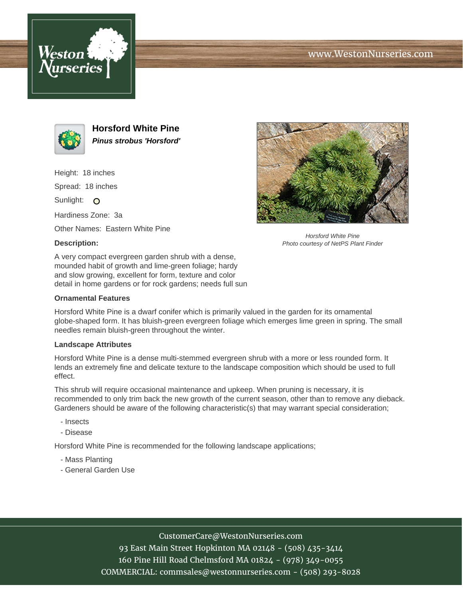





**Horsford White Pine Pinus strobus 'Horsford'**

Height: 18 inches

Spread: 18 inches

Sunlight: O

Hardiness Zone: 3a

Other Names: Eastern White Pine

## **Description:**



Horsford White Pine Photo courtesy of NetPS Plant Finder

A very compact evergreen garden shrub with a dense, mounded habit of growth and lime-green foliage; hardy and slow growing, excellent for form, texture and color detail in home gardens or for rock gardens; needs full sun

### **Ornamental Features**

Horsford White Pine is a dwarf conifer which is primarily valued in the garden for its ornamental globe-shaped form. It has bluish-green evergreen foliage which emerges lime green in spring. The small needles remain bluish-green throughout the winter.

#### **Landscape Attributes**

Horsford White Pine is a dense multi-stemmed evergreen shrub with a more or less rounded form. It lends an extremely fine and delicate texture to the landscape composition which should be used to full effect.

This shrub will require occasional maintenance and upkeep. When pruning is necessary, it is recommended to only trim back the new growth of the current season, other than to remove any dieback. Gardeners should be aware of the following characteristic(s) that may warrant special consideration;

- Insects
- Disease

Horsford White Pine is recommended for the following landscape applications;

- Mass Planting
- General Garden Use

## CustomerCare@WestonNurseries.com

93 East Main Street Hopkinton MA 02148 - (508) 435-3414 160 Pine Hill Road Chelmsford MA 01824 - (978) 349-0055 COMMERCIAL: commsales@westonnurseries.com - (508) 293-8028